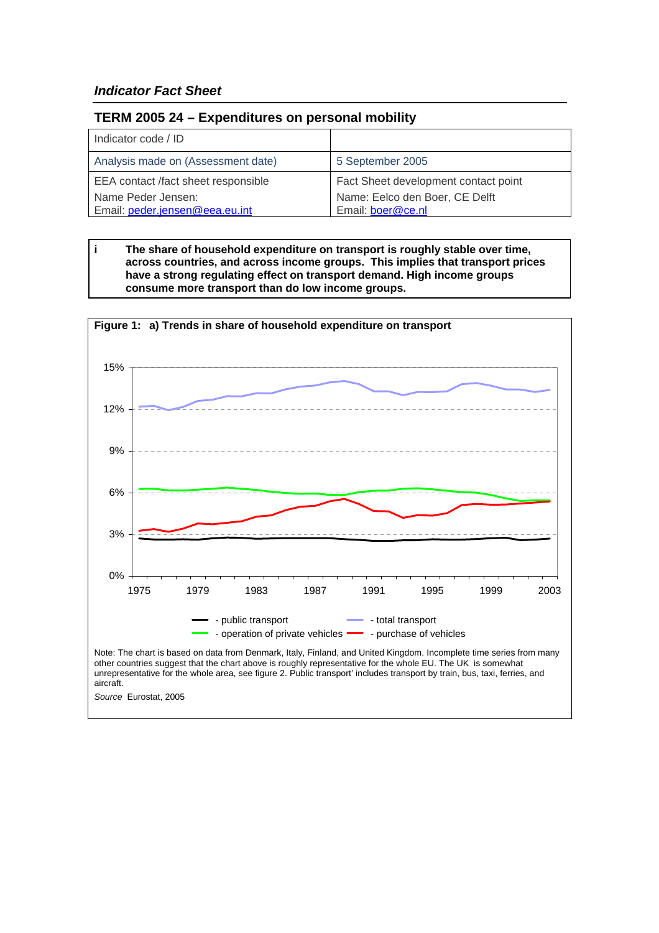# *Indicator Fact Sheet*

## **TERM 2005 24 – Expenditures on personal mobility**

| Indicator code / ID                 |                                      |
|-------------------------------------|--------------------------------------|
| Analysis made on (Assessment date)  | 5 September 2005                     |
| EEA contact /fact sheet responsible | Fact Sheet development contact point |
| Name Peder Jensen:                  | Name: Eelco den Boer, CE Delft       |
| Email: peder.jensen@eea.eu.int      | Email: boer@ce.nl                    |

**i The share of household expenditure on transport is roughly stable over time, across countries, and across income groups. This implies that transport prices have a strong regulating effect on transport demand. High income groups consume more transport than do low income groups.** 

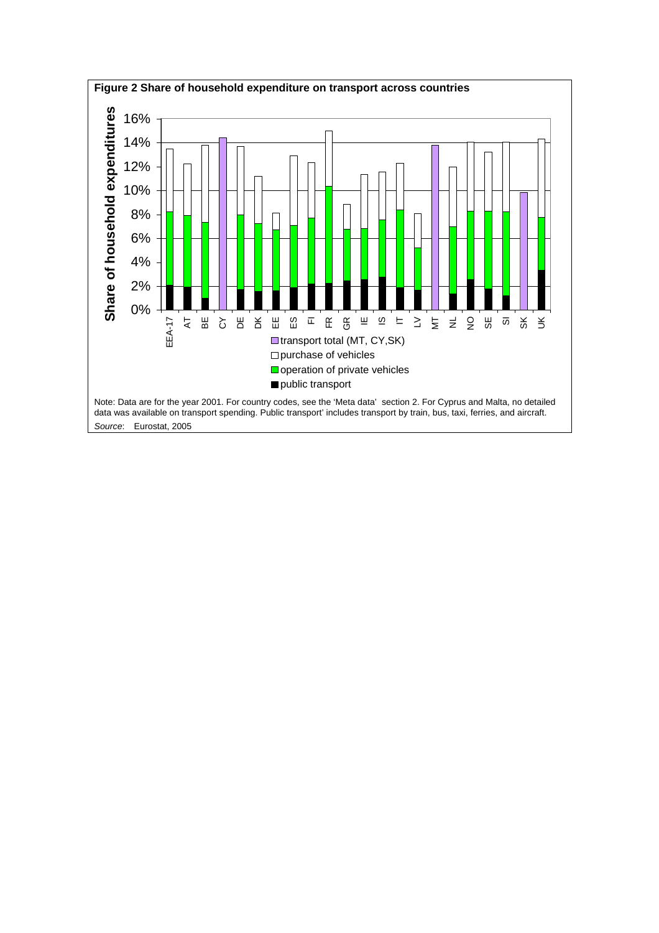<span id="page-1-0"></span>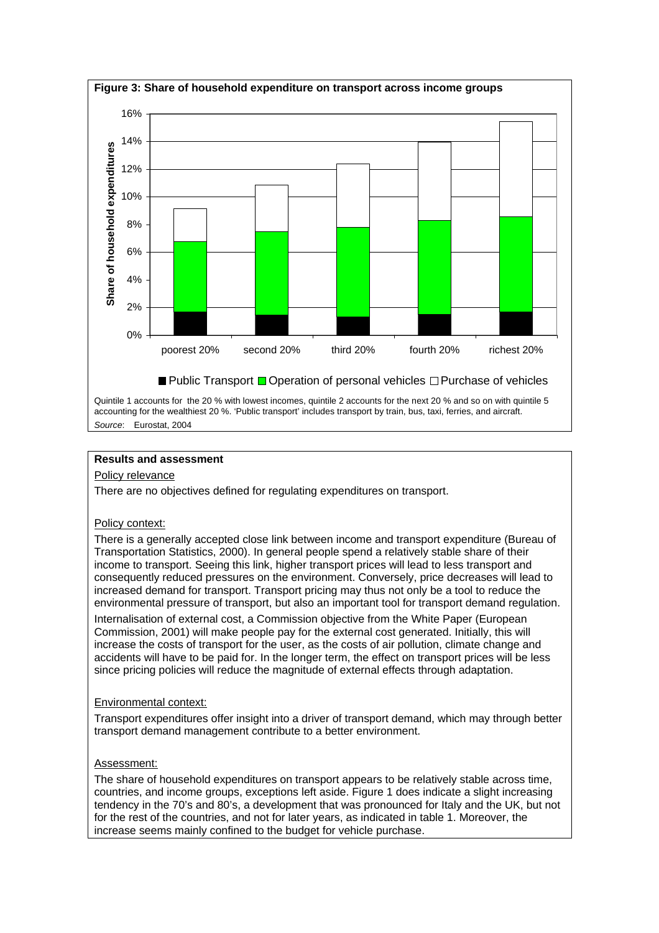

# **Results and assessment**

#### Policy relevance

There are no objectives defined for regulating expenditures on transport.

## Policy context:

There is a generally accepted close link between income and transport expenditure (Bureau of Transportation Statistics, 2000). In general people spend a relatively stable share of their income to transport. Seeing this link, higher transport prices will lead to less transport and consequently reduced pressures on the environment. Conversely, price decreases will lead to increased demand for transport. Transport pricing may thus not only be a tool to reduce the environmental pressure of transport, but also an important tool for transport demand regulation. Internalisation of external cost, a Commission objective from the White Paper (European Commission, 2001) will make people pay for the external cost generated. Initially, this will increase the costs of transport for the user, as the costs of air pollution, climate change and accidents will have to be paid for. In the longer term, the effect on transport prices will be less since pricing policies will reduce the magnitude of external effects through adaptation.

#### Environmental context:

Transport expenditures offer insight into a driver of transport demand, which may through better transport demand management contribute to a better environment.

#### Assessment:

The share of household expenditures on transport appears to be relatively stable across time, countries, and income groups, exceptions left aside. Figure 1 does indicate a slight increasing tendency in the 70's and 80's, a development that was pronounced for Italy and the UK, but not for the rest of the countries, and not for later years, as indicated in table 1. Moreover, the increase seems mainly confined to the budget for vehicle purchase.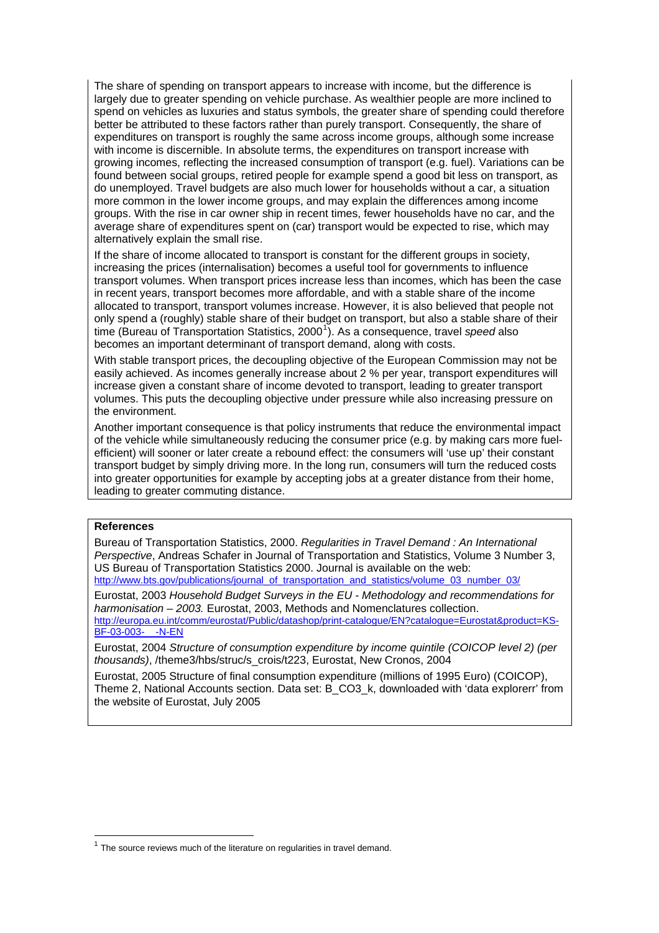The share of spending on transport appears to increase with income, but the difference is largely due to greater spending on vehicle purchase. As wealthier people are more inclined to spend on vehicles as luxuries and status symbols, the greater share of spending could therefore better be attributed to these factors rather than purely transport. Consequently, the share of expenditures on transport is roughly the same across income groups, although some increase with income is discernible. In absolute terms, the expenditures on transport increase with growing incomes, reflecting the increased consumption of transport (e.g. fuel). Variations can be found between social groups, retired people for example spend a good bit less on transport, as do unemployed. Travel budgets are also much lower for households without a car, a situation more common in the lower income groups, and may explain the differences among income groups. With the rise in car owner ship in recent times, fewer households have no car, and the average share of expenditures spent on (car) transport would be expected to rise, which may alternatively explain the small rise.

If the share of income allocated to transport is constant for the different groups in society, increasing the prices (internalisation) becomes a useful tool for governments to influence transport volumes. When transport prices increase less than incomes, which has been the case in recent years, transport becomes more affordable, and with a stable share of the income allocated to transport, transport volumes increase. However, it is also believed that people not only spend a (roughly) stable share of their budget on transport, but also a stable share of their time (Bureau of Transportation Statistics, 2000<sup>[1](#page-3-0)</sup>). As a consequence, travel *speed* also becomes an important determinant of transport demand, along with costs.

With stable transport prices, the decoupling objective of the European Commission may not be easily achieved. As incomes generally increase about 2 % per year, transport expenditures will increase given a constant share of income devoted to transport, leading to greater transport volumes. This puts the decoupling objective under pressure while also increasing pressure on the environment.

Another important consequence is that policy instruments that reduce the environmental impact of the vehicle while simultaneously reducing the consumer price (e.g. by making cars more fuelefficient) will sooner or later create a rebound effect: the consumers will 'use up' their constant transport budget by simply driving more. In the long run, consumers will turn the reduced costs into greater opportunities for example by accepting jobs at a greater distance from their home, leading to greater commuting distance.

#### **References**

 $\overline{a}$ 

Bureau of Transportation Statistics, 2000. *Regularities in Travel Demand : An International Perspective*, Andreas Schafer in Journal of Transportation and Statistics, Volume 3 Number 3, US Bureau of Transportation Statistics 2000. Journal is available on the web: http://www.bts.gov/publications/journal\_of\_transportation\_and\_statistics/volume\_03\_number\_03/

Eurostat, 2003 *Household Budget Surveys in the EU - Methodology and recommendations for harmonisation – 2003.* Eurostat, 2003, Methods and Nomenclatures collection. [http://europa.eu.int/comm/eurostat/Public/datashop/print-catalogue/EN?catalogue=Eurostat&product=KS-](http://europa.eu.int/comm/eurostat/Public/datashop/print-catalogue/EN?catalogue=Eurostat&product=KS-BF-03-003-__-N-EN)[BF-03-003-\\_\\_-N-EN](http://europa.eu.int/comm/eurostat/Public/datashop/print-catalogue/EN?catalogue=Eurostat&product=KS-BF-03-003-__-N-EN)

Eurostat, 2004 *Structure of consumption expenditure by income quintile (COICOP level 2) (per thousands)*, /theme3/hbs/struc/s\_crois/t223, Eurostat, New Cronos, 2004

Eurostat, 2005 Structure of final consumption expenditure (millions of 1995 Euro) (COICOP), Theme 2, National Accounts section. Data set: B\_CO3\_k, downloaded with 'data explorerr' from the website of Eurostat, July 2005

<span id="page-3-0"></span> $1$  The source reviews much of the literature on regularities in travel demand.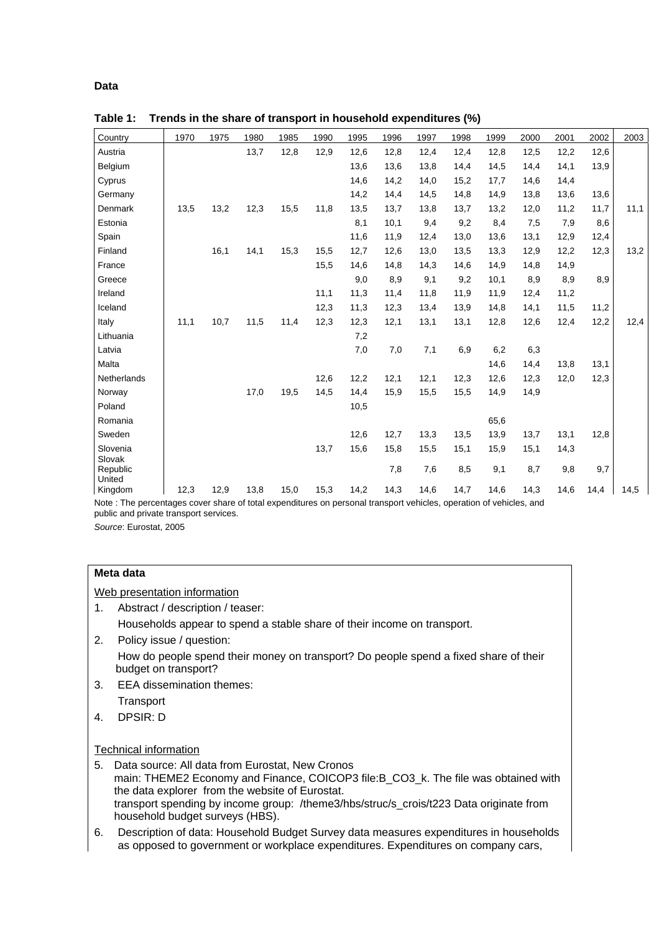## **Data**

| Country                      | 1970 | 1975 | 1980 | 1985 | 1990 | 1995 | 1996 | 1997 | 1998 | 1999 | 2000 | 2001 | 2002 | 2003 |
|------------------------------|------|------|------|------|------|------|------|------|------|------|------|------|------|------|
| Austria                      |      |      | 13,7 | 12,8 | 12,9 | 12,6 | 12,8 | 12,4 | 12,4 | 12,8 | 12,5 | 12,2 | 12,6 |      |
| Belgium                      |      |      |      |      |      | 13,6 | 13,6 | 13,8 | 14,4 | 14,5 | 14,4 | 14,1 | 13,9 |      |
| Cyprus                       |      |      |      |      |      | 14,6 | 14,2 | 14,0 | 15,2 | 17,7 | 14,6 | 14,4 |      |      |
| Germany                      |      |      |      |      |      | 14,2 | 14,4 | 14,5 | 14,8 | 14,9 | 13,8 | 13,6 | 13,6 |      |
| <b>Denmark</b>               | 13,5 | 13,2 | 12,3 | 15,5 | 11,8 | 13,5 | 13,7 | 13,8 | 13,7 | 13,2 | 12,0 | 11,2 | 11,7 | 11,1 |
| Estonia                      |      |      |      |      |      | 8,1  | 10,1 | 9,4  | 9,2  | 8,4  | 7,5  | 7,9  | 8,6  |      |
| Spain                        |      |      |      |      |      | 11,6 | 11,9 | 12,4 | 13,0 | 13,6 | 13,1 | 12,9 | 12,4 |      |
| Finland                      |      | 16,1 | 14,1 | 15,3 | 15,5 | 12,7 | 12,6 | 13,0 | 13,5 | 13,3 | 12,9 | 12,2 | 12,3 | 13,2 |
| France                       |      |      |      |      | 15,5 | 14,6 | 14,8 | 14,3 | 14,6 | 14,9 | 14,8 | 14,9 |      |      |
| Greece                       |      |      |      |      |      | 9,0  | 8,9  | 9,1  | 9,2  | 10,1 | 8,9  | 8,9  | 8,9  |      |
| Ireland                      |      |      |      |      | 11,1 | 11,3 | 11,4 | 11,8 | 11,9 | 11,9 | 12,4 | 11,2 |      |      |
| Iceland                      |      |      |      |      | 12,3 | 11,3 | 12,3 | 13,4 | 13,9 | 14,8 | 14,1 | 11,5 | 11,2 |      |
| Italy                        | 11,1 | 10,7 | 11,5 | 11,4 | 12,3 | 12,3 | 12,1 | 13,1 | 13,1 | 12,8 | 12,6 | 12,4 | 12,2 | 12,4 |
| Lithuania                    |      |      |      |      |      | 7,2  |      |      |      |      |      |      |      |      |
| Latvia                       |      |      |      |      |      | 7,0  | 7,0  | 7,1  | 6,9  | 6,2  | 6,3  |      |      |      |
| Malta                        |      |      |      |      |      |      |      |      |      | 14,6 | 14,4 | 13,8 | 13,1 |      |
| Netherlands                  |      |      |      |      | 12,6 | 12,2 | 12,1 | 12,1 | 12,3 | 12,6 | 12,3 | 12,0 | 12,3 |      |
| Norway                       |      |      | 17,0 | 19,5 | 14,5 | 14,4 | 15,9 | 15,5 | 15,5 | 14,9 | 14,9 |      |      |      |
| Poland                       |      |      |      |      |      | 10,5 |      |      |      |      |      |      |      |      |
| Romania                      |      |      |      |      |      |      |      |      |      | 65,6 |      |      |      |      |
| Sweden                       |      |      |      |      |      | 12,6 | 12,7 | 13,3 | 13,5 | 13,9 | 13,7 | 13,1 | 12,8 |      |
| Slovenia                     |      |      |      |      | 13,7 | 15,6 | 15,8 | 15,5 | 15,1 | 15,9 | 15,1 | 14,3 |      |      |
| Slovak<br>Republic<br>United |      |      |      |      |      |      | 7,8  | 7,6  | 8,5  | 9,1  | 8,7  | 9,8  | 9,7  |      |
| Kingdom                      | 12,3 | 12,9 | 13,8 | 15,0 | 15,3 | 14,2 | 14,3 | 14,6 | 14,7 | 14,6 | 14,3 | 14,6 | 14,4 | 14,5 |

**Table 1: Trends in the share of transport in household expenditures (%)**

Note : The percentages cover share of total expenditures on personal transport vehicles, operation of vehicles, and public and private transport services.

*Source*: Eurostat, 2005

## **Meta data**

Web presentation information

- 1. Abstract / description / teaser: Households appear to spend a stable share of their income on transport.
- 2. Policy issue / question: How do people spend their money on transport? Do people spend a fixed share of their budget on transport?
- 3. EEA dissemination themes: **Transport**
- 4. DPSIR: D

## Technical information

- 5. Data source: All data from Eurostat, New Cronos main: THEME2 Economy and Finance, COICOP3 file:B CO3 k. The file was obtained with the data explorer from the website of Eurostat. transport spending by income group: /theme3/hbs/struc/s\_crois/t223 Data originate from household budget surveys (HBS).
- 6. Description of data: Household Budget Survey data measures expenditures in households as opposed to government or workplace expenditures. Expenditures on company cars,